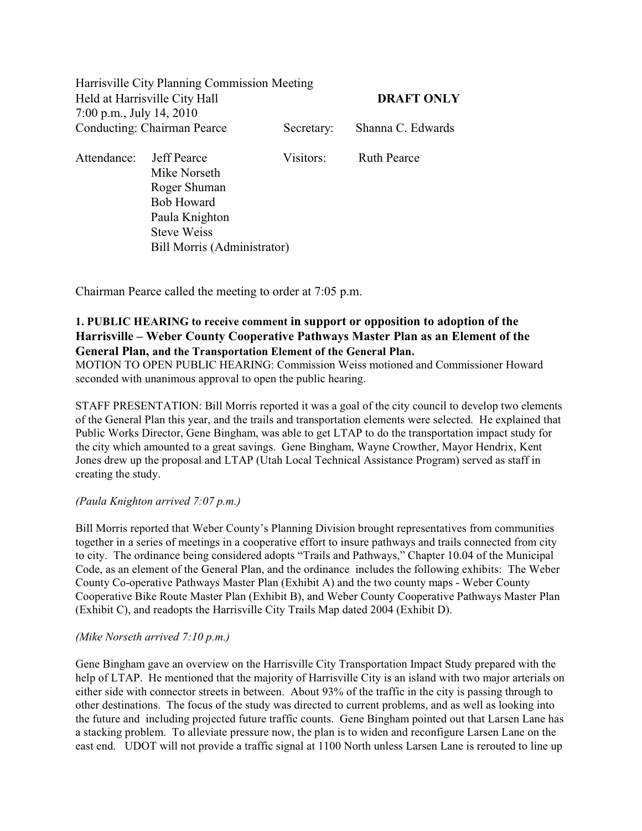| Harrisville City Planning Commission Meeting |            |                   |
|----------------------------------------------|------------|-------------------|
| Held at Harrisville City Hall                |            | <b>DRAFT ONLY</b> |
| 7:00 p.m., July 14, 2010                     |            |                   |
| Conducting: Chairman Pearce                  | Secretary: | Shanna C. Edwards |

Attendance: Jeff Pearce Visitors: Ruth Pearce Mike Norseth Roger Shuman Bob Howard Paula Knighton Steve Weiss Bill Morris (Administrator)

Chairman Pearce called the meeting to order at 7:05 p.m.

## **1. PUBLIC HEARING to receive comment in support or opposition to adoption of the Harrisville – Weber County Cooperative Pathways Master Plan as an Element of the General Plan, and the Transportation Element of the General Plan.**

MOTION TO OPEN PUBLIC HEARING: Commission Weiss motioned and Commissioner Howard seconded with unanimous approval to open the public hearing.

STAFF PRESENTATION: Bill Morris reported it was a goal of the city council to develop two elements of the General Plan this year, and the trails and transportation elements were selected. He explained that Public Works Director, Gene Bingham, was able to get LTAP to do the transportation impact study for the city which amounted to a great savings. Gene Bingham, Wayne Crowther, Mayor Hendrix, Kent Jones drew up the proposal and LTAP (Utah Local Technical Assistance Program) served as staff in creating the study.

## *(Paula Knighton arrived 7:07 p.m.)*

Bill Morris reported that Weber County's Planning Division brought representatives from communities together in a series of meetings in a cooperative effort to insure pathways and trails connected from city to city. The ordinance being considered adopts "Trails and Pathways," Chapter 10.04 of the Municipal Code, as an element of the General Plan, and the ordinance includes the following exhibits: The Weber County Co-operative Pathways Master Plan (Exhibit A) and the two county maps - Weber County Cooperative Bike Route Master Plan (Exhibit B), and Weber County Cooperative Pathways Master Plan (Exhibit C), and readopts the Harrisville City Trails Map dated 2004 (Exhibit D).

## *(Mike Norseth arrived 7:10 p.m.)*

Gene Bingham gave an overview on the Harrisville City Transportation Impact Study prepared with the help of LTAP. He mentioned that the majority of Harrisville City is an island with two major arterials on either side with connector streets in between. About 93% of the traffic in the city is passing through to other destinations. The focus of the study was directed to current problems, and as well as looking into the future and including projected future traffic counts. Gene Bingham pointed out that Larsen Lane has a stacking problem. To alleviate pressure now, the plan is to widen and reconfigure Larsen Lane on the east end. UDOT will not provide a traffic signal at 1100 North unless Larsen Lane is rerouted to line up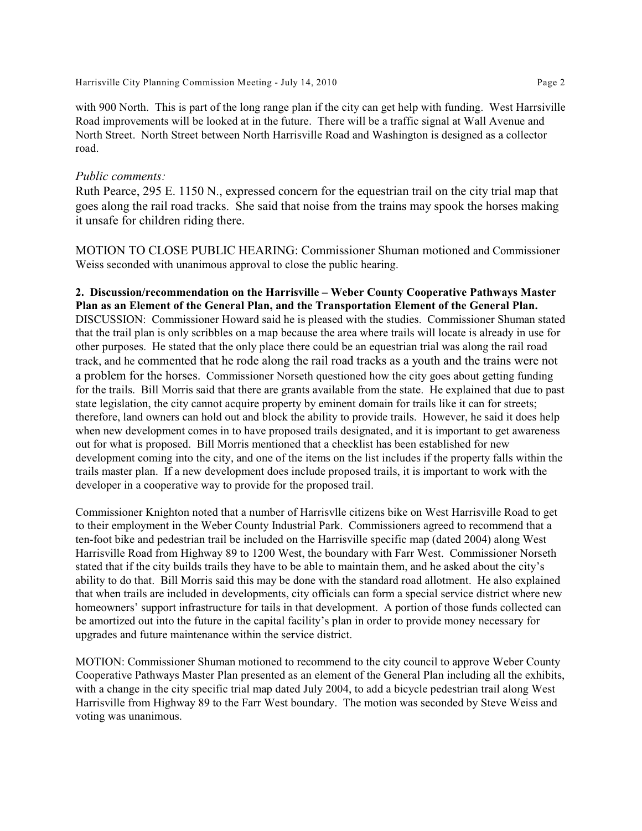Harrisville City Planning Commission Meeting - July 14, 2010 **Page 2** 

with 900 North. This is part of the long range plan if the city can get help with funding. West Harrsiville Road improvements will be looked at in the future. There will be a traffic signal at Wall Avenue and North Street. North Street between North Harrisville Road and Washington is designed as a collector road.

## *Public comments:*

Ruth Pearce, 295 E. 1150 N., expressed concern for the equestrian trail on the city trial map that goes along the rail road tracks. She said that noise from the trains may spook the horses making it unsafe for children riding there.

MOTION TO CLOSE PUBLIC HEARING: Commissioner Shuman motioned and Commissioner Weiss seconded with unanimous approval to close the public hearing.

## **2. Discussion/recommendation on the Harrisville – Weber County Cooperative Pathways Master Plan as an Element of the General Plan, and the Transportation Element of the General Plan.**

DISCUSSION: Commissioner Howard said he is pleased with the studies. Commissioner Shuman stated that the trail plan is only scribbles on a map because the area where trails will locate is already in use for other purposes. He stated that the only place there could be an equestrian trial was along the rail road track, and he commented that he rode along the rail road tracks as a youth and the trains were not a problem for the horses. Commissioner Norseth questioned how the city goes about getting funding for the trails. Bill Morris said that there are grants available from the state. He explained that due to past state legislation, the city cannot acquire property by eminent domain for trails like it can for streets; therefore, land owners can hold out and block the ability to provide trails. However, he said it does help when new development comes in to have proposed trails designated, and it is important to get awareness out for what is proposed. Bill Morris mentioned that a checklist has been established for new development coming into the city, and one of the items on the list includes if the property falls within the trails master plan. If a new development does include proposed trails, it is important to work with the developer in a cooperative way to provide for the proposed trail.

Commissioner Knighton noted that a number of Harrisvlle citizens bike on West Harrisville Road to get to their employment in the Weber County Industrial Park. Commissioners agreed to recommend that a ten-foot bike and pedestrian trail be included on the Harrisville specific map (dated 2004) along West Harrisville Road from Highway 89 to 1200 West, the boundary with Farr West. Commissioner Norseth stated that if the city builds trails they have to be able to maintain them, and he asked about the city's ability to do that. Bill Morris said this may be done with the standard road allotment. He also explained that when trails are included in developments, city officials can form a special service district where new homeowners' support infrastructure for tails in that development. A portion of those funds collected can be amortized out into the future in the capital facility's plan in order to provide money necessary for upgrades and future maintenance within the service district.

MOTION: Commissioner Shuman motioned to recommend to the city council to approve Weber County Cooperative Pathways Master Plan presented as an element of the General Plan including all the exhibits, with a change in the city specific trial map dated July 2004, to add a bicycle pedestrian trail along West Harrisville from Highway 89 to the Farr West boundary. The motion was seconded by Steve Weiss and voting was unanimous.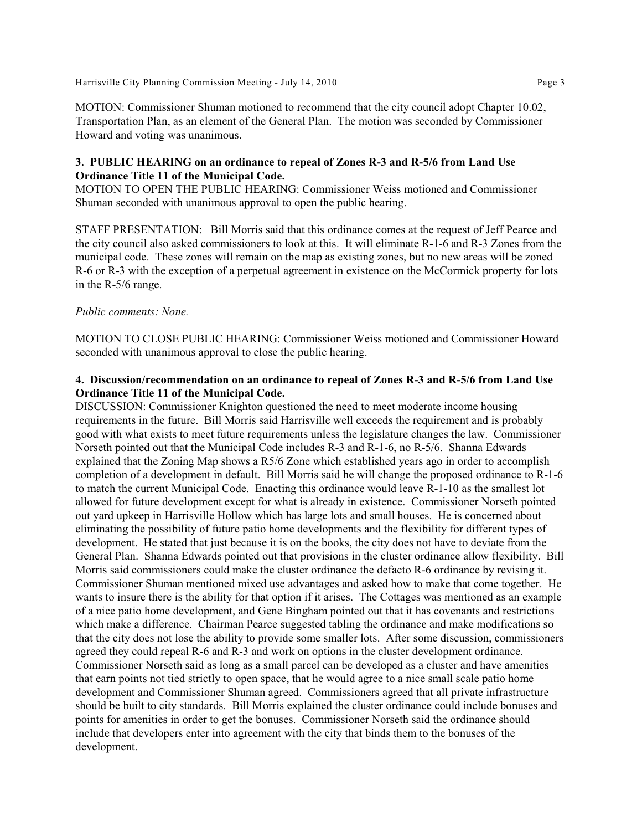MOTION: Commissioner Shuman motioned to recommend that the city council adopt Chapter 10.02, Transportation Plan, as an element of the General Plan. The motion was seconded by Commissioner Howard and voting was unanimous.

## **3. PUBLIC HEARING on an ordinance to repeal of Zones R-3 and R-5/6 from Land Use Ordinance Title 11 of the Municipal Code.**

MOTION TO OPEN THE PUBLIC HEARING: Commissioner Weiss motioned and Commissioner Shuman seconded with unanimous approval to open the public hearing.

STAFF PRESENTATION: Bill Morris said that this ordinance comes at the request of Jeff Pearce and the city council also asked commissioners to look at this. It will eliminate R-1-6 and R-3 Zones from the municipal code. These zones will remain on the map as existing zones, but no new areas will be zoned R-6 or R-3 with the exception of a perpetual agreement in existence on the McCormick property for lots in the R-5/6 range.

#### *Public comments: None.*

MOTION TO CLOSE PUBLIC HEARING: Commissioner Weiss motioned and Commissioner Howard seconded with unanimous approval to close the public hearing.

### **4. Discussion/recommendation on an ordinance to repeal of Zones R-3 and R-5/6 from Land Use Ordinance Title 11 of the Municipal Code.**

DISCUSSION: Commissioner Knighton questioned the need to meet moderate income housing requirements in the future. Bill Morris said Harrisville well exceeds the requirement and is probably good with what exists to meet future requirements unless the legislature changes the law. Commissioner Norseth pointed out that the Municipal Code includes R-3 and R-1-6, no R-5/6. Shanna Edwards explained that the Zoning Map shows a R5/6 Zone which established years ago in order to accomplish completion of a development in default. Bill Morris said he will change the proposed ordinance to R-1-6 to match the current Municipal Code. Enacting this ordinance would leave R-1-10 as the smallest lot allowed for future development except for what is already in existence. Commissioner Norseth pointed out yard upkeep in Harrisville Hollow which has large lots and small houses. He is concerned about eliminating the possibility of future patio home developments and the flexibility for different types of development. He stated that just because it is on the books, the city does not have to deviate from the General Plan. Shanna Edwards pointed out that provisions in the cluster ordinance allow flexibility. Bill Morris said commissioners could make the cluster ordinance the defacto R-6 ordinance by revising it. Commissioner Shuman mentioned mixed use advantages and asked how to make that come together. He wants to insure there is the ability for that option if it arises. The Cottages was mentioned as an example of a nice patio home development, and Gene Bingham pointed out that it has covenants and restrictions which make a difference. Chairman Pearce suggested tabling the ordinance and make modifications so that the city does not lose the ability to provide some smaller lots. After some discussion, commissioners agreed they could repeal R-6 and R-3 and work on options in the cluster development ordinance. Commissioner Norseth said as long as a small parcel can be developed as a cluster and have amenities that earn points not tied strictly to open space, that he would agree to a nice small scale patio home development and Commissioner Shuman agreed. Commissioners agreed that all private infrastructure should be built to city standards. Bill Morris explained the cluster ordinance could include bonuses and points for amenities in order to get the bonuses. Commissioner Norseth said the ordinance should include that developers enter into agreement with the city that binds them to the bonuses of the development.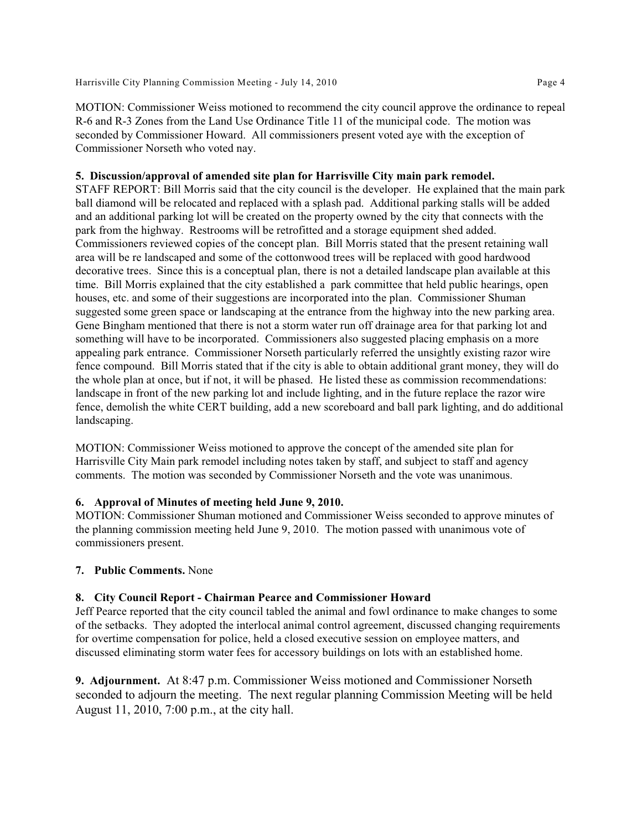Harrisville City Planning Commission Meeting - July 14, 2010 **Page 4** Page 4

MOTION: Commissioner Weiss motioned to recommend the city council approve the ordinance to repeal R-6 and R-3 Zones from the Land Use Ordinance Title 11 of the municipal code. The motion was seconded by Commissioner Howard. All commissioners present voted aye with the exception of Commissioner Norseth who voted nay.

## **5. Discussion/approval of amended site plan for Harrisville City main park remodel.**

STAFF REPORT: Bill Morris said that the city council is the developer. He explained that the main park ball diamond will be relocated and replaced with a splash pad. Additional parking stalls will be added and an additional parking lot will be created on the property owned by the city that connects with the park from the highway. Restrooms will be retrofitted and a storage equipment shed added. Commissioners reviewed copies of the concept plan. Bill Morris stated that the present retaining wall area will be re landscaped and some of the cottonwood trees will be replaced with good hardwood decorative trees. Since this is a conceptual plan, there is not a detailed landscape plan available at this time. Bill Morris explained that the city established a park committee that held public hearings, open houses, etc. and some of their suggestions are incorporated into the plan. Commissioner Shuman suggested some green space or landscaping at the entrance from the highway into the new parking area. Gene Bingham mentioned that there is not a storm water run off drainage area for that parking lot and something will have to be incorporated. Commissioners also suggested placing emphasis on a more appealing park entrance. Commissioner Norseth particularly referred the unsightly existing razor wire fence compound. Bill Morris stated that if the city is able to obtain additional grant money, they will do the whole plan at once, but if not, it will be phased. He listed these as commission recommendations: landscape in front of the new parking lot and include lighting, and in the future replace the razor wire fence, demolish the white CERT building, add a new scoreboard and ball park lighting, and do additional landscaping.

MOTION: Commissioner Weiss motioned to approve the concept of the amended site plan for Harrisville City Main park remodel including notes taken by staff, and subject to staff and agency comments. The motion was seconded by Commissioner Norseth and the vote was unanimous.

# **6. Approval of Minutes of meeting held June 9, 2010.**

MOTION: Commissioner Shuman motioned and Commissioner Weiss seconded to approve minutes of the planning commission meeting held June 9, 2010. The motion passed with unanimous vote of commissioners present.

# **7. Public Comments.** None

# **8. City Council Report - Chairman Pearce and Commissioner Howard**

Jeff Pearce reported that the city council tabled the animal and fowl ordinance to make changes to some of the setbacks. They adopted the interlocal animal control agreement, discussed changing requirements for overtime compensation for police, held a closed executive session on employee matters, and discussed eliminating storm water fees for accessory buildings on lots with an established home.

**9. Adjournment.** At 8:47 p.m. Commissioner Weiss motioned and Commissioner Norseth seconded to adjourn the meeting. The next regular planning Commission Meeting will be held August 11, 2010, 7:00 p.m., at the city hall.